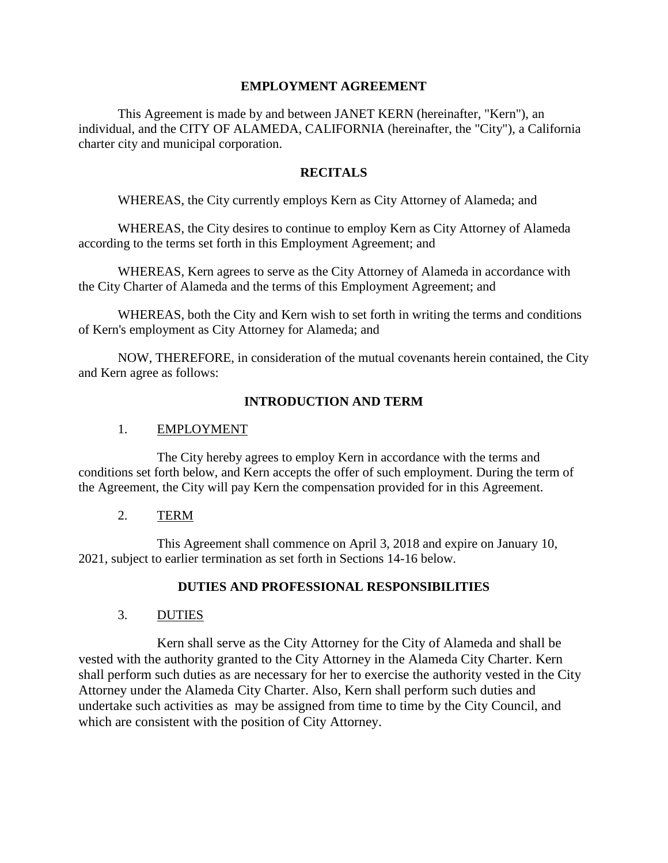### **EMPLOYMENT AGREEMENT**

This Agreement is made by and between JANET KERN (hereinafter, "Kern"), an individual, and the CITY OF ALAMEDA, CALIFORNIA (hereinafter, the "City"), a California charter city and municipal corporation.

### **RECITALS**

WHEREAS, the City currently employs Kern as City Attorney of Alameda; and

WHEREAS, the City desires to continue to employ Kern as City Attorney of Alameda according to the terms set forth in this Employment Agreement; and

WHEREAS, Kern agrees to serve as the City Attorney of Alameda in accordance with the City Charter of Alameda and the terms of this Employment Agreement; and

WHEREAS, both the City and Kern wish to set forth in writing the terms and conditions of Kern's employment as City Attorney for Alameda; and

NOW, THEREFORE, in consideration of the mutual covenants herein contained, the City and Kern agree as follows:

### **INTRODUCTION AND TERM**

### 1. EMPLOYMENT

The City hereby agrees to employ Kern in accordance with the terms and conditions set forth below, and Kern accepts the offer of such employment. During the term of the Agreement, the City will pay Kern the compensation provided for in this Agreement.

### 2. TERM

This Agreement shall commence on April 3, 2018 and expire on January 10, 2021, subject to earlier termination as set forth in Sections 14-16 below.

### **DUTIES AND PROFESSIONAL RESPONSIBILITIES**

### 3. DUTIES

Kern shall serve as the City Attorney for the City of Alameda and shall be vested with the authority granted to the City Attorney in the Alameda City Charter. Kern shall perform such duties as are necessary for her to exercise the authority vested in the City Attorney under the Alameda City Charter. Also, Kern shall perform such duties and undertake such activities as may be assigned from time to time by the City Council, and which are consistent with the position of City Attorney.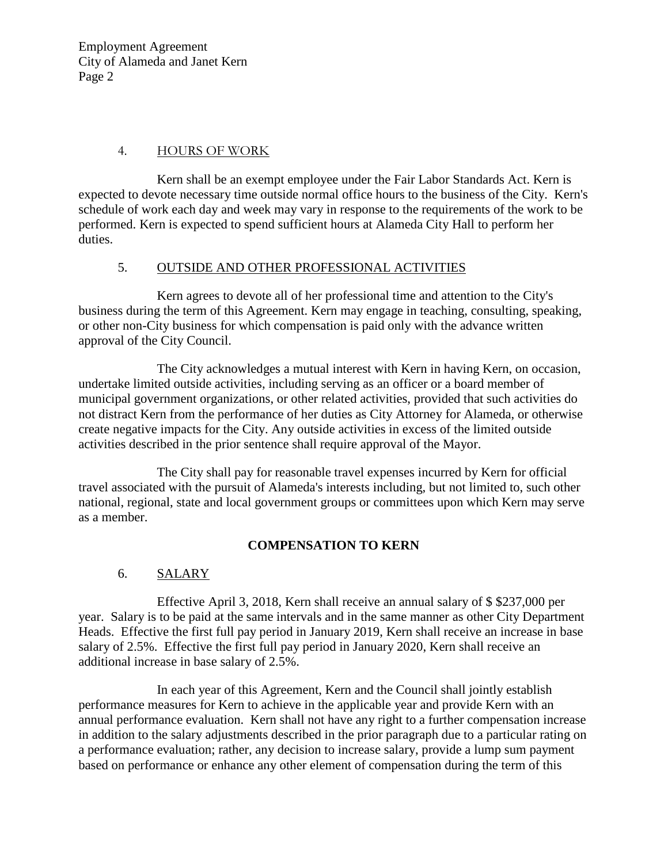### 4. HOURS OF WORK

Kern shall be an exempt employee under the Fair Labor Standards Act. Kern is expected to devote necessary time outside normal office hours to the business of the City. Kern's schedule of work each day and week may vary in response to the requirements of the work to be performed. Kern is expected to spend sufficient hours at Alameda City Hall to perform her duties.

### 5. OUTSIDE AND OTHER PROFESSIONAL ACTIVITIES

Kern agrees to devote all of her professional time and attention to the City's business during the term of this Agreement. Kern may engage in teaching, consulting, speaking, or other non-City business for which compensation is paid only with the advance written approval of the City Council.

The City acknowledges a mutual interest with Kern in having Kern, on occasion, undertake limited outside activities, including serving as an officer or a board member of municipal government organizations, or other related activities, provided that such activities do not distract Kern from the performance of her duties as City Attorney for Alameda, or otherwise create negative impacts for the City. Any outside activities in excess of the limited outside activities described in the prior sentence shall require approval of the Mayor.

The City shall pay for reasonable travel expenses incurred by Kern for official travel associated with the pursuit of Alameda's interests including, but not limited to, such other national, regional, state and local government groups or committees upon which Kern may serve as a member.

#### **COMPENSATION TO KERN**

### 6. SALARY

Effective April 3, 2018, Kern shall receive an annual salary of \$ \$237,000 per year. Salary is to be paid at the same intervals and in the same manner as other City Department Heads. Effective the first full pay period in January 2019, Kern shall receive an increase in base salary of 2.5%. Effective the first full pay period in January 2020, Kern shall receive an additional increase in base salary of 2.5%.

In each year of this Agreement, Kern and the Council shall jointly establish performance measures for Kern to achieve in the applicable year and provide Kern with an annual performance evaluation. Kern shall not have any right to a further compensation increase in addition to the salary adjustments described in the prior paragraph due to a particular rating on a performance evaluation; rather, any decision to increase salary, provide a lump sum payment based on performance or enhance any other element of compensation during the term of this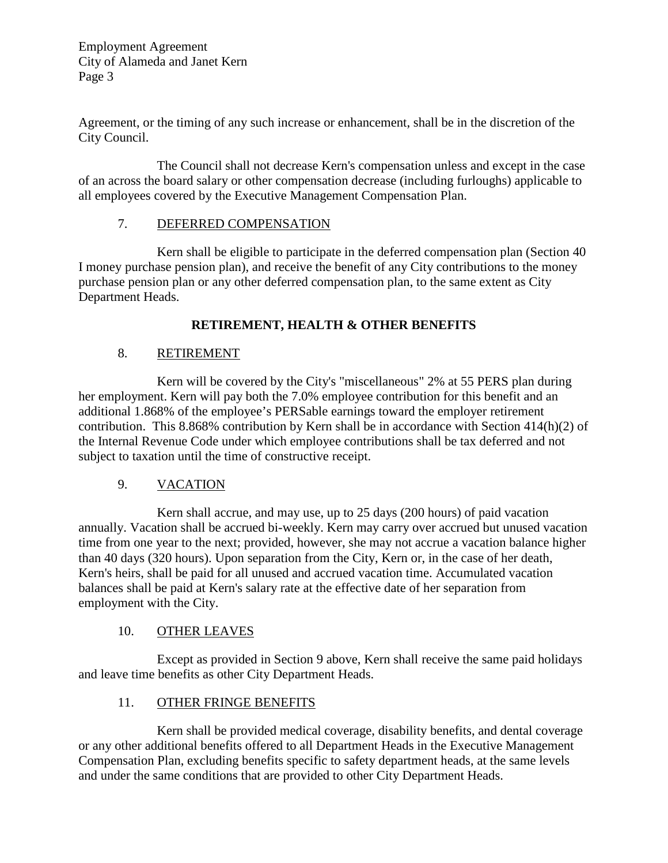Agreement, or the timing of any such increase or enhancement, shall be in the discretion of the City Council.

The Council shall not decrease Kern's compensation unless and except in the case of an across the board salary or other compensation decrease (including furloughs) applicable to all employees covered by the Executive Management Compensation Plan.

# 7. DEFERRED COMPENSATION

Kern shall be eligible to participate in the deferred compensation plan (Section 40 I money purchase pension plan), and receive the benefit of any City contributions to the money purchase pension plan or any other deferred compensation plan, to the same extent as City Department Heads.

# **RETIREMENT, HEALTH & OTHER BENEFITS**

# 8. RETIREMENT

Kern will be covered by the City's "miscellaneous" 2% at 55 PERS plan during her employment. Kern will pay both the 7.0% employee contribution for this benefit and an additional 1.868% of the employee's PERSable earnings toward the employer retirement contribution. This 8.868% contribution by Kern shall be in accordance with Section 414(h)(2) of the Internal Revenue Code under which employee contributions shall be tax deferred and not subject to taxation until the time of constructive receipt.

### 9. VACATION

Kern shall accrue, and may use, up to 25 days (200 hours) of paid vacation annually. Vacation shall be accrued bi-weekly. Kern may carry over accrued but unused vacation time from one year to the next; provided, however, she may not accrue a vacation balance higher than 40 days (320 hours). Upon separation from the City, Kern or, in the case of her death, Kern's heirs, shall be paid for all unused and accrued vacation time. Accumulated vacation balances shall be paid at Kern's salary rate at the effective date of her separation from employment with the City.

### 10. OTHER LEAVES

Except as provided in Section 9 above, Kern shall receive the same paid holidays and leave time benefits as other City Department Heads.

### 11. OTHER FRINGE BENEFITS

Kern shall be provided medical coverage, disability benefits, and dental coverage or any other additional benefits offered to all Department Heads in the Executive Management Compensation Plan, excluding benefits specific to safety department heads, at the same levels and under the same conditions that are provided to other City Department Heads.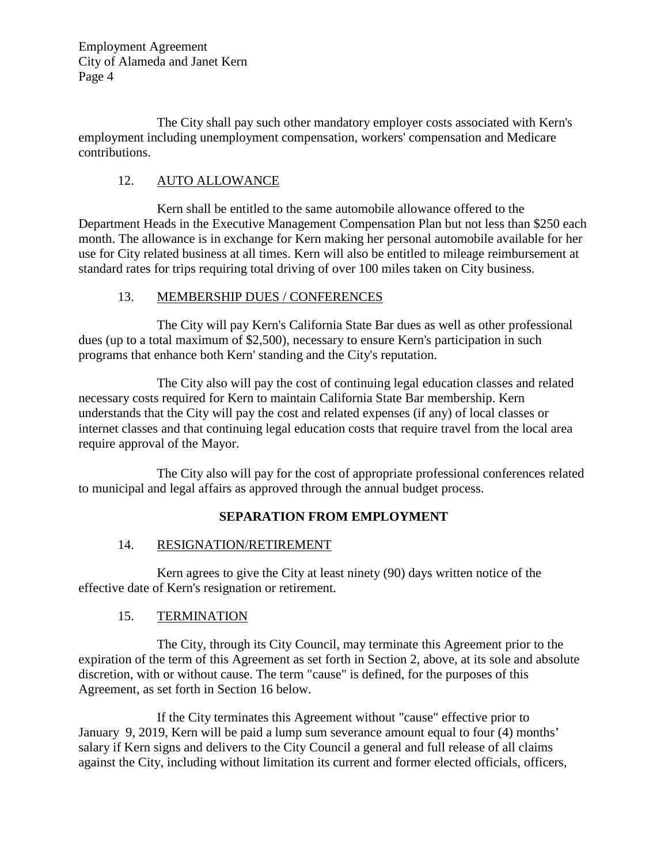The City shall pay such other mandatory employer costs associated with Kern's employment including unemployment compensation, workers' compensation and Medicare contributions.

# 12. AUTO ALLOWANCE

Kern shall be entitled to the same automobile allowance offered to the Department Heads in the Executive Management Compensation Plan but not less than \$250 each month. The allowance is in exchange for Kern making her personal automobile available for her use for City related business at all times. Kern will also be entitled to mileage reimbursement at standard rates for trips requiring total driving of over 100 miles taken on City business.

# 13. MEMBERSHIP DUES / CONFERENCES

The City will pay Kern's California State Bar dues as well as other professional dues (up to a total maximum of \$2,500), necessary to ensure Kern's participation in such programs that enhance both Kern' standing and the City's reputation.

The City also will pay the cost of continuing legal education classes and related necessary costs required for Kern to maintain California State Bar membership. Kern understands that the City will pay the cost and related expenses (if any) of local classes or internet classes and that continuing legal education costs that require travel from the local area require approval of the Mayor.

The City also will pay for the cost of appropriate professional conferences related to municipal and legal affairs as approved through the annual budget process.

# **SEPARATION FROM EMPLOYMENT**

### 14. RESIGNATION/RETIREMENT

Kern agrees to give the City at least ninety (90) days written notice of the effective date of Kern's resignation or retirement.

### 15. TERMINATION

The City, through its City Council, may terminate this Agreement prior to the expiration of the term of this Agreement as set forth in Section 2, above, at its sole and absolute discretion, with or without cause. The term "cause" is defined, for the purposes of this Agreement, as set forth in Section 16 below.

If the City terminates this Agreement without "cause" effective prior to January 9, 2019, Kern will be paid a lump sum severance amount equal to four (4) months' salary if Kern signs and delivers to the City Council a general and full release of all claims against the City, including without limitation its current and former elected officials, officers,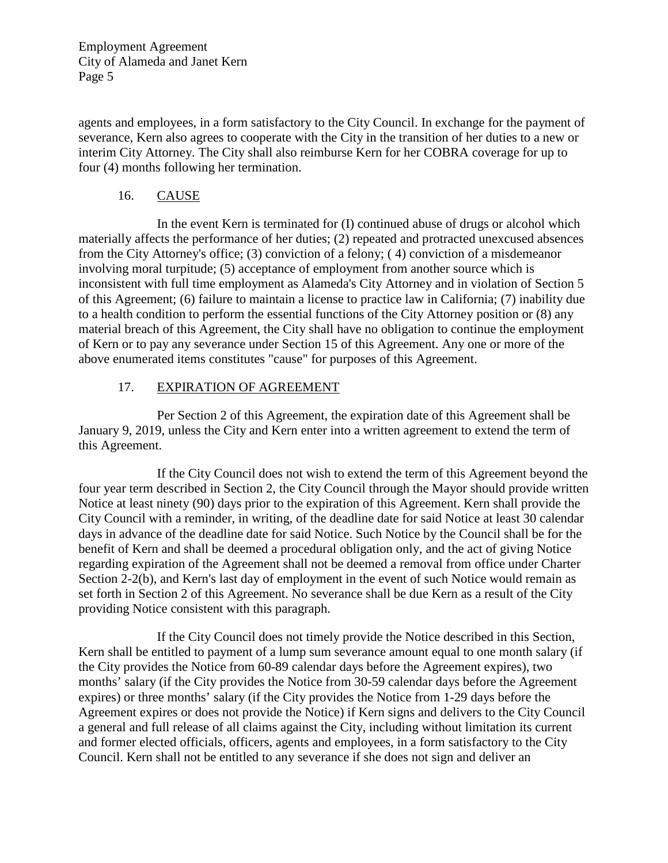agents and employees, in a form satisfactory to the City Council. In exchange for the payment of severance, Kern also agrees to cooperate with the City in the transition of her duties to a new or interim City Attorney. The City shall also reimburse Kern for her COBRA coverage for up to four (4) months following her termination.

### 16. CAUSE

In the event Kern is terminated for (I) continued abuse of drugs or alcohol which materially affects the performance of her duties; (2) repeated and protracted unexcused absences from the City Attorney's office; (3) conviction of a felony; ( 4) conviction of a misdemeanor involving moral turpitude; (5) acceptance of employment from another source which is inconsistent with full time employment as Alameda's City Attorney and in violation of Section 5 of this Agreement; (6) failure to maintain a license to practice law in California; (7) inability due to a health condition to perform the essential functions of the City Attorney position or (8) any material breach of this Agreement, the City shall have no obligation to continue the employment of Kern or to pay any severance under Section 15 of this Agreement. Any one or more of the above enumerated items constitutes "cause" for purposes of this Agreement.

### 17. EXPIRATION OF AGREEMENT

Per Section 2 of this Agreement, the expiration date of this Agreement shall be January 9, 2019, unless the City and Kern enter into a written agreement to extend the term of this Agreement.

If the City Council does not wish to extend the term of this Agreement beyond the four year term described in Section 2, the City Council through the Mayor should provide written Notice at least ninety (90) days prior to the expiration of this Agreement. Kern shall provide the City Council with a reminder, in writing, of the deadline date for said Notice at least 30 calendar days in advance of the deadline date for said Notice. Such Notice by the Council shall be for the benefit of Kern and shall be deemed a procedural obligation only, and the act of giving Notice regarding expiration of the Agreement shall not be deemed a removal from office under Charter Section 2-2(b), and Kern's last day of employment in the event of such Notice would remain as set forth in Section 2 of this Agreement. No severance shall be due Kern as a result of the City providing Notice consistent with this paragraph.

If the City Council does not timely provide the Notice described in this Section, Kern shall be entitled to payment of a lump sum severance amount equal to one month salary (if the City provides the Notice from 60-89 calendar days before the Agreement expires), two months' salary (if the City provides the Notice from 30-59 calendar days before the Agreement expires) or three months' salary (if the City provides the Notice from 1-29 days before the Agreement expires or does not provide the Notice) if Kern signs and delivers to the City Council a general and full release of all claims against the City, including without limitation its current and former elected officials, officers, agents and employees, in a form satisfactory to the City Council. Kern shall not be entitled to any severance if she does not sign and deliver an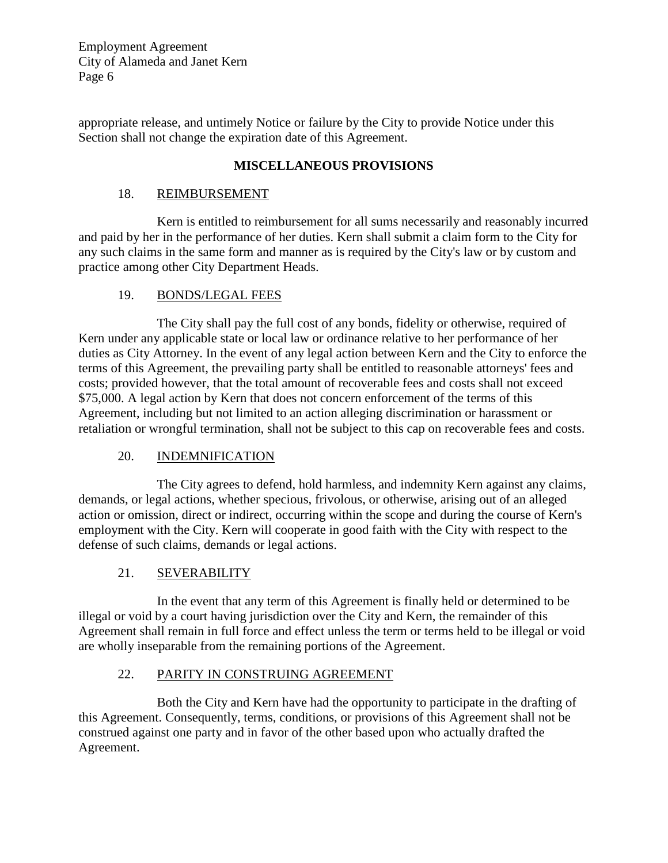appropriate release, and untimely Notice or failure by the City to provide Notice under this Section shall not change the expiration date of this Agreement.

# **MISCELLANEOUS PROVISIONS**

### 18. REIMBURSEMENT

Kern is entitled to reimbursement for all sums necessarily and reasonably incurred and paid by her in the performance of her duties. Kern shall submit a claim form to the City for any such claims in the same form and manner as is required by the City's law or by custom and practice among other City Department Heads.

### 19. BONDS/LEGAL FEES

The City shall pay the full cost of any bonds, fidelity or otherwise, required of Kern under any applicable state or local law or ordinance relative to her performance of her duties as City Attorney. In the event of any legal action between Kern and the City to enforce the terms of this Agreement, the prevailing party shall be entitled to reasonable attorneys' fees and costs; provided however, that the total amount of recoverable fees and costs shall not exceed \$75,000. A legal action by Kern that does not concern enforcement of the terms of this Agreement, including but not limited to an action alleging discrimination or harassment or retaliation or wrongful termination, shall not be subject to this cap on recoverable fees and costs.

### 20. INDEMNIFICATION

The City agrees to defend, hold harmless, and indemnity Kern against any claims, demands, or legal actions, whether specious, frivolous, or otherwise, arising out of an alleged action or omission, direct or indirect, occurring within the scope and during the course of Kern's employment with the City. Kern will cooperate in good faith with the City with respect to the defense of such claims, demands or legal actions.

### 21. SEVERABILITY

In the event that any term of this Agreement is finally held or determined to be illegal or void by a court having jurisdiction over the City and Kern, the remainder of this Agreement shall remain in full force and effect unless the term or terms held to be illegal or void are wholly inseparable from the remaining portions of the Agreement.

### 22. PARITY IN CONSTRUING AGREEMENT

Both the City and Kern have had the opportunity to participate in the drafting of this Agreement. Consequently, terms, conditions, or provisions of this Agreement shall not be construed against one party and in favor of the other based upon who actually drafted the Agreement.